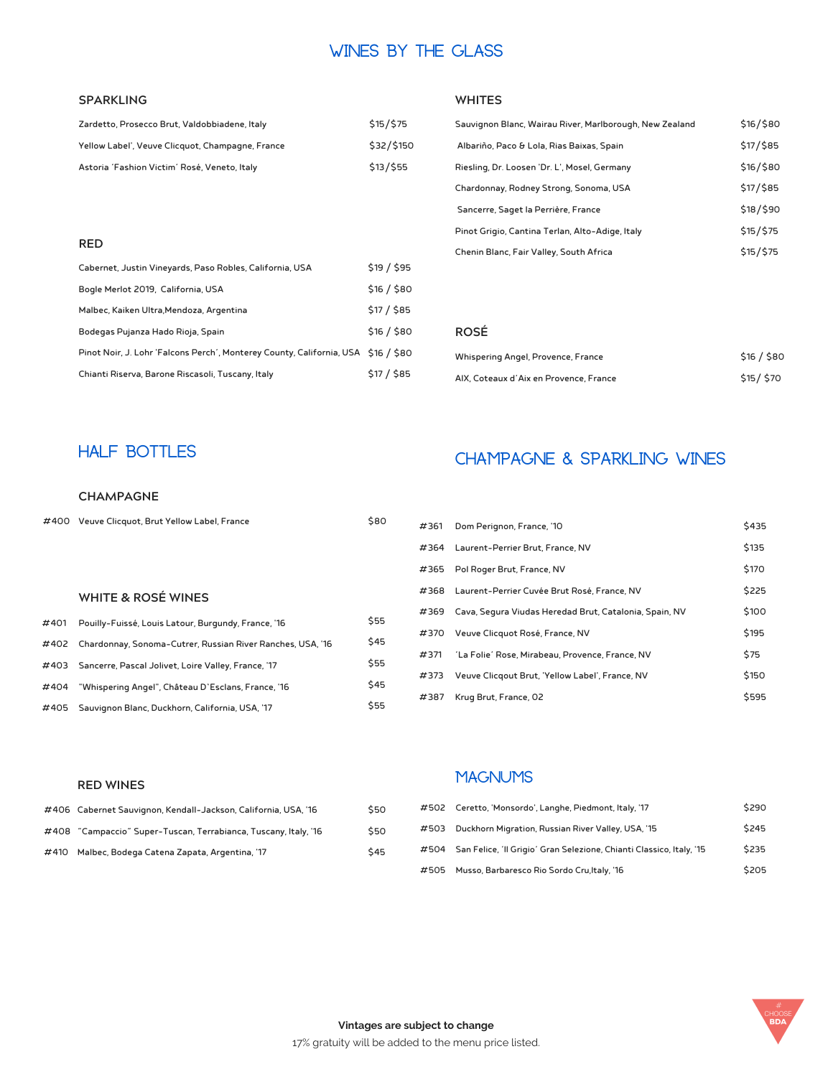## **Wines By The Glass**

#### **SPARKLING**

| Zardetto, Prosecco Brut, Valdobbiadene, Italy    | \$15/575   |
|--------------------------------------------------|------------|
| Yellow Label', Veuve Clicquot, Champagne, France | \$32/\$150 |
| Astoria 'Fashion Victim' Rosé, Veneto, Italy     | \$13/555   |

#### **RED**

| Cabernet, Justin Vineyards, Paso Robles, California, USA                          | \$19/\$95   |
|-----------------------------------------------------------------------------------|-------------|
| Bogle Merlot 2019, California, USA                                                | \$16 / \$80 |
| Malbec, Kaiken Ultra, Mendoza, Argentina                                          | \$17 / \$85 |
| Bodegas Pujanza Hado Rioja, Spain                                                 | \$16 / \$80 |
| Pinot Noir, J. Lohr 'Falcons Perch', Monterey County, California, USA \$16 / \$80 |             |
| Chianti Riserva, Barone Riscasoli, Tuscany, Italy                                 | \$17 / \$85 |

#### **WHITES**

| Sauvignon Blanc, Wairau River, Marlborough, New Zealand | \$16/\$80 |
|---------------------------------------------------------|-----------|
| Albariño, Paco & Lola, Rias Baixas, Spain               | \$17/\$85 |
| Riesling, Dr. Loosen 'Dr. L', Mosel, Germany            | \$16/\$80 |
| \$17/\$85<br>Chardonnay, Rodney Strong, Sonoma, USA     |           |
| Sancerre, Saget la Perrière, France                     | \$18/\$90 |
| Pinot Grigio, Cantina Terlan, Alto-Adige, Italy         | \$15/\$75 |
| Chenin Blanc, Fair Valley, South Africa                 | \$15/575  |

#### **ROSÉ**

| Whispering Angel, Provence, France     | \$16 / \$80 |
|----------------------------------------|-------------|
| AIX, Coteaux d'Aix en Provence, France | \$15/\$70   |

#### **CHAMPAGNE**

| #400 Veuve Clicquot, Brut Yellow Label, France | \$80 |
|------------------------------------------------|------|
|                                                |      |

#### **WHITE & ROSÉ WINES**

| #401 | Pouilly-Fuissé, Louis Latour, Burgundy, France, '16             | \$55 |
|------|-----------------------------------------------------------------|------|
|      | #402 Chardonnay, Sonoma-Cutrer, Russian River Ranches, USA, '16 | \$45 |
|      | #403 Sancerre, Pascal Jolivet, Loire Valley, France, '17        | \$55 |
| #404 | "Whispering Angel", Château D'Esclans, France, '16              | \$45 |
| #405 | Sauvignon Blanc, Duckhorn, California, USA, '17                 | \$55 |

## **HALF BOTTLES CHAMPAGNE & SPARKLING WINES**

| #361 | Dom Perignon, France, '10                              | \$435 |
|------|--------------------------------------------------------|-------|
| #364 | Laurent-Perrier Brut, France, NV                       | \$135 |
|      | #365 Pol Roger Brut, France, NV                        | \$170 |
| #368 | Laurent-Perrier Cuvée Brut Rosé, France, NV            | \$225 |
| #369 | Cava, Segura Viudas Heredad Brut, Catalonia, Spain, NV | \$100 |
| #370 | Veuve Clicquot Rosé, France, NV                        | \$195 |
| #371 | 'La Folie' Rose, Mirabeau, Provence, France, NV        | \$75  |
| #373 | Veuve Clicqout Brut, 'Yellow Label', France, NV        | \$150 |
| #387 | Krug Brut, France, 02                                  | \$595 |

#### **RED WINES**

|      | #406 Cabernet Sauvignon, Kendall-Jackson, California, USA, '16  | \$50 |
|------|-----------------------------------------------------------------|------|
|      | #408 "Campaccio" Super-Tuscan, Terrabianca, Tuscany, Italy, '16 | \$50 |
| #410 | Malbec, Bodega Catena Zapata, Argentina, '17                    | \$45 |

### **Magnums**

| #502 | Ceretto, 'Monsordo', Langhe, Piedmont, Italy, '17                         | \$290 |
|------|---------------------------------------------------------------------------|-------|
|      | #503 Duckhorn Migration, Russian River Valley, USA, '15                   | \$245 |
|      | #504 San Felice, 'Il Grigio' Gran Selezione, Chianti Classico, Italy, '15 | \$235 |
| #505 | Musso, Barbaresco Rio Sordo Cru, Italy, '16                               | \$205 |